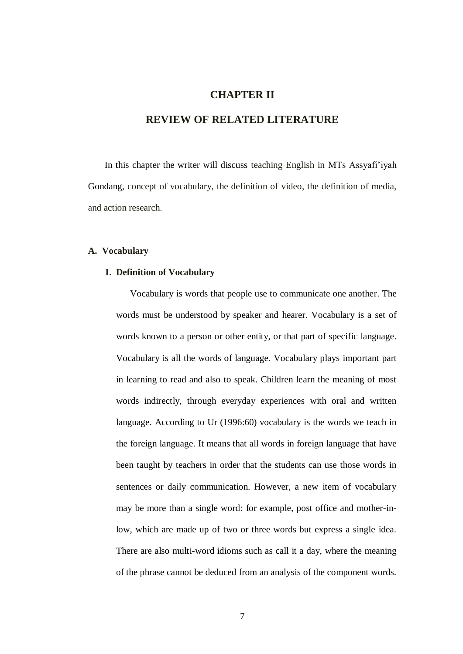# **CHAPTER II**

# **REVIEW OF RELATED LITERATURE**

In this chapter the writer will discuss teaching English in MTs Assyafi"iyah Gondang, concept of vocabulary, the definition of video, the definition of media, and action research.

#### **A. Vocabulary**

#### **1. Definition of Vocabulary**

Vocabulary is words that people use to communicate one another. The words must be understood by speaker and hearer. Vocabulary is a set of words known to a person or other entity, or that part of specific language. Vocabulary is all the words of language. Vocabulary plays important part in learning to read and also to speak. Children learn the meaning of most words indirectly, through everyday experiences with oral and written language. According to Ur (1996:60) vocabulary is the words we teach in the foreign language. It means that all words in foreign language that have been taught by teachers in order that the students can use those words in sentences or daily communication. However, a new item of vocabulary may be more than a single word: for example, post office and mother-inlow, which are made up of two or three words but express a single idea. There are also multi-word idioms such as call it a day, where the meaning of the phrase cannot be deduced from an analysis of the component words.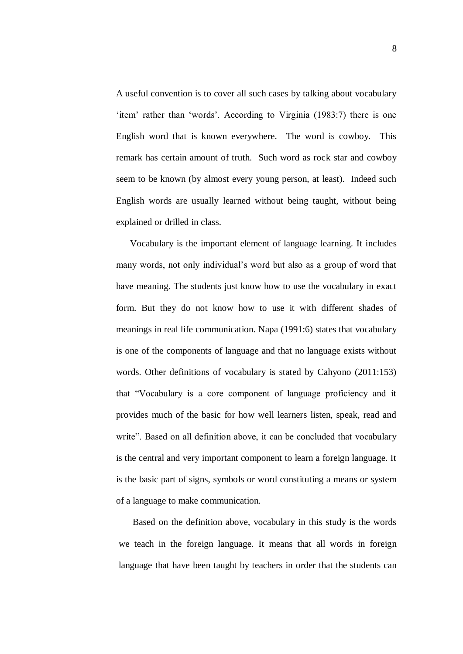A useful convention is to cover all such cases by talking about vocabulary 'item' rather than 'words'. According to Virginia (1983:7) there is one English word that is known everywhere. The word is cowboy. This remark has certain amount of truth. Such word as rock star and cowboy seem to be known (by almost every young person, at least). Indeed such English words are usually learned without being taught, without being explained or drilled in class.

Vocabulary is the important element of language learning. It includes many words, not only individual"s word but also as a group of word that have meaning. The students just know how to use the vocabulary in exact form. But they do not know how to use it with different shades of meanings in real life communication. Napa (1991:6) states that vocabulary is one of the components of language and that no language exists without words. Other definitions of vocabulary is stated by Cahyono (2011:153) that "Vocabulary is a core component of language proficiency and it provides much of the basic for how well learners listen, speak, read and write". Based on all definition above, it can be concluded that vocabulary is the central and very important component to learn a foreign language. It is the basic part of signs, symbols or word constituting a means or system of a language to make communication.

Based on the definition above, vocabulary in this study is the words we teach in the foreign language. It means that all words in foreign language that have been taught by teachers in order that the students can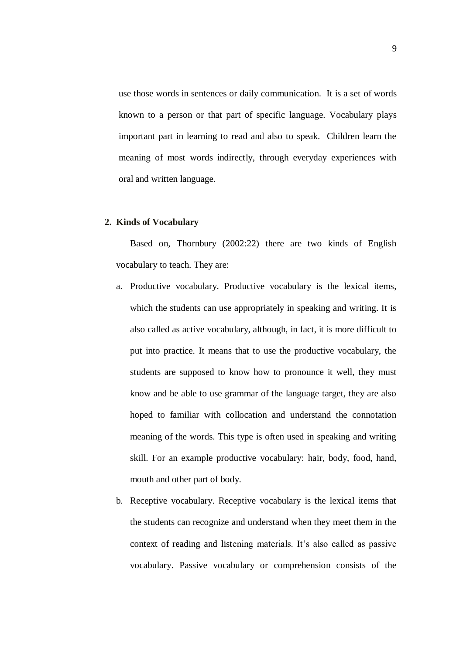use those words in sentences or daily communication. It is a set of words known to a person or that part of specific language. Vocabulary plays important part in learning to read and also to speak. Children learn the meaning of most words indirectly, through everyday experiences with oral and written language.

### **2. Kinds of Vocabulary**

Based on, Thornbury (2002:22) there are two kinds of English vocabulary to teach. They are:

- a. Productive vocabulary. Productive vocabulary is the lexical items, which the students can use appropriately in speaking and writing. It is also called as active vocabulary, although, in fact, it is more difficult to put into practice. It means that to use the productive vocabulary, the students are supposed to know how to pronounce it well, they must know and be able to use grammar of the language target, they are also hoped to familiar with collocation and understand the connotation meaning of the words. This type is often used in speaking and writing skill. For an example productive vocabulary: hair, body, food, hand, mouth and other part of body.
- b. Receptive vocabulary. Receptive vocabulary is the lexical items that the students can recognize and understand when they meet them in the context of reading and listening materials. It"s also called as passive vocabulary. Passive vocabulary or comprehension consists of the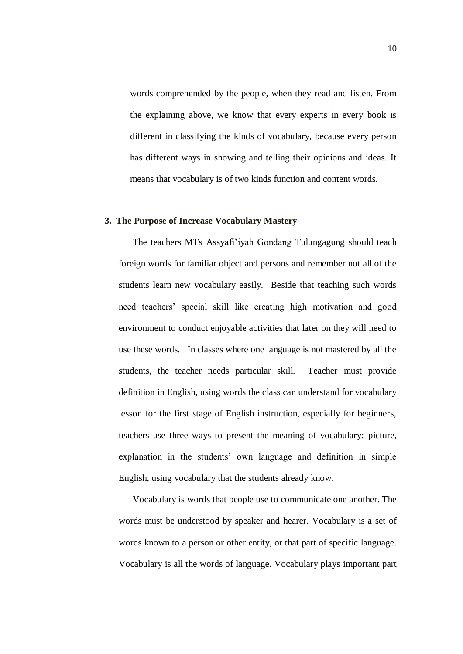words comprehended by the people, when they read and listen. From the explaining above, we know that every experts in every book is different in classifying the kinds of vocabulary, because every person has different ways in showing and telling their opinions and ideas. It means that vocabulary is of two kinds function and content words.

# **3. The Purpose of Increase Vocabulary Mastery**

The teachers MTs Assyafi"iyah Gondang Tulungagung should teach foreign words for familiar object and persons and remember not all of the students learn new vocabulary easily. Beside that teaching such words need teachers" special skill like creating high motivation and good environment to conduct enjoyable activities that later on they will need to use these words. In classes where one language is not mastered by all the students, the teacher needs particular skill. Teacher must provide definition in English, using words the class can understand for vocabulary lesson for the first stage of English instruction, especially for beginners, teachers use three ways to present the meaning of vocabulary: picture, explanation in the students" own language and definition in simple English, using vocabulary that the students already know.

Vocabulary is words that people use to communicate one another. The words must be understood by speaker and hearer. Vocabulary is a set of words known to a person or other entity, or that part of specific language. Vocabulary is all the words of language. Vocabulary plays important part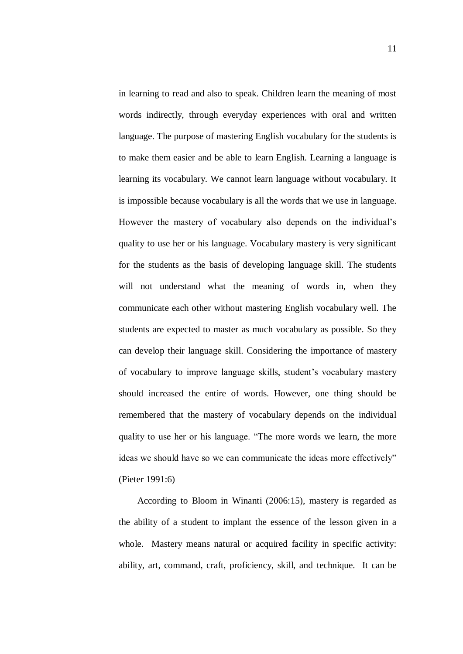in learning to read and also to speak. Children learn the meaning of most words indirectly, through everyday experiences with oral and written language. The purpose of mastering English vocabulary for the students is to make them easier and be able to learn English. Learning a language is learning its vocabulary. We cannot learn language without vocabulary. It is impossible because vocabulary is all the words that we use in language. However the mastery of vocabulary also depends on the individual"s quality to use her or his language. Vocabulary mastery is very significant for the students as the basis of developing language skill. The students will not understand what the meaning of words in, when they communicate each other without mastering English vocabulary well. The students are expected to master as much vocabulary as possible. So they can develop their language skill. Considering the importance of mastery of vocabulary to improve language skills, student"s vocabulary mastery should increased the entire of words. However, one thing should be remembered that the mastery of vocabulary depends on the individual quality to use her or his language. "The more words we learn, the more ideas we should have so we can communicate the ideas more effectively" (Pieter 1991:6)

 According to Bloom in Winanti (2006:15), mastery is regarded as the ability of a student to implant the essence of the lesson given in a whole. Mastery means natural or acquired facility in specific activity: ability, art, command, craft, proficiency, skill, and technique. It can be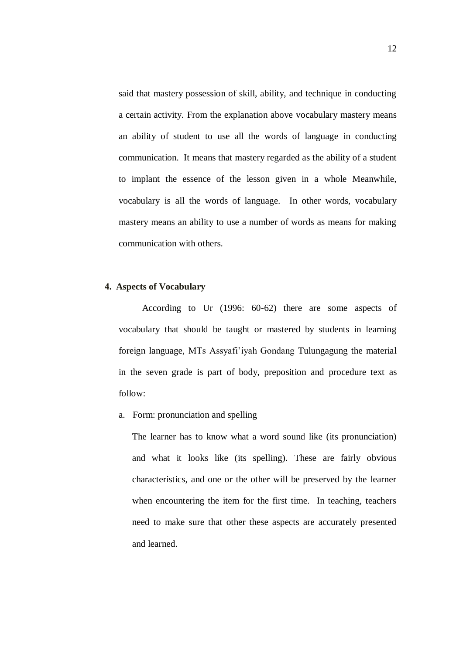said that mastery possession of skill, ability, and technique in conducting a certain activity. From the explanation above vocabulary mastery means an ability of student to use all the words of language in conducting communication. It means that mastery regarded as the ability of a student to implant the essence of the lesson given in a whole Meanwhile, vocabulary is all the words of language. In other words, vocabulary mastery means an ability to use a number of words as means for making communication with others.

## **4. Aspects of Vocabulary**

 According to Ur (1996: 60-62) there are some aspects of vocabulary that should be taught or mastered by students in learning foreign language, MTs Assyafi"iyah Gondang Tulungagung the material in the seven grade is part of body, preposition and procedure text as follow:

a. Form: pronunciation and spelling

The learner has to know what a word sound like (its pronunciation) and what it looks like (its spelling). These are fairly obvious characteristics, and one or the other will be preserved by the learner when encountering the item for the first time. In teaching, teachers need to make sure that other these aspects are accurately presented and learned.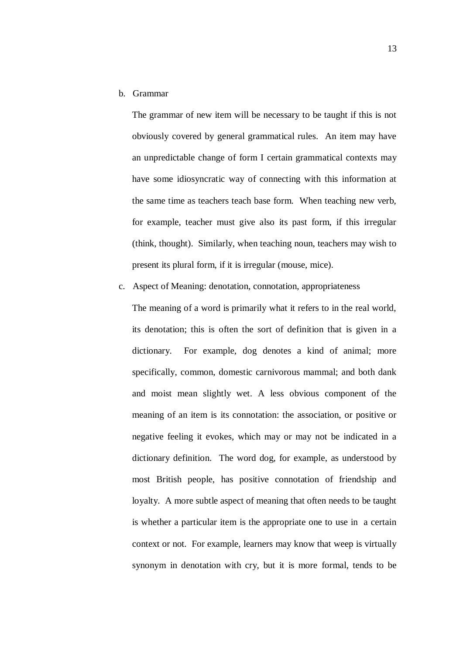b. Grammar

The grammar of new item will be necessary to be taught if this is not obviously covered by general grammatical rules. An item may have an unpredictable change of form I certain grammatical contexts may have some idiosyncratic way of connecting with this information at the same time as teachers teach base form. When teaching new verb, for example, teacher must give also its past form, if this irregular (think, thought). Similarly, when teaching noun, teachers may wish to present its plural form, if it is irregular (mouse, mice).

c. Aspect of Meaning: denotation, connotation, appropriateness

The meaning of a word is primarily what it refers to in the real world, its denotation; this is often the sort of definition that is given in a dictionary. For example, dog denotes a kind of animal; more specifically, common, domestic carnivorous mammal; and both dank and moist mean slightly wet. A less obvious component of the meaning of an item is its connotation: the association, or positive or negative feeling it evokes, which may or may not be indicated in a dictionary definition. The word dog, for example, as understood by most British people, has positive connotation of friendship and loyalty. A more subtle aspect of meaning that often needs to be taught is whether a particular item is the appropriate one to use in a certain context or not. For example, learners may know that weep is virtually synonym in denotation with cry, but it is more formal, tends to be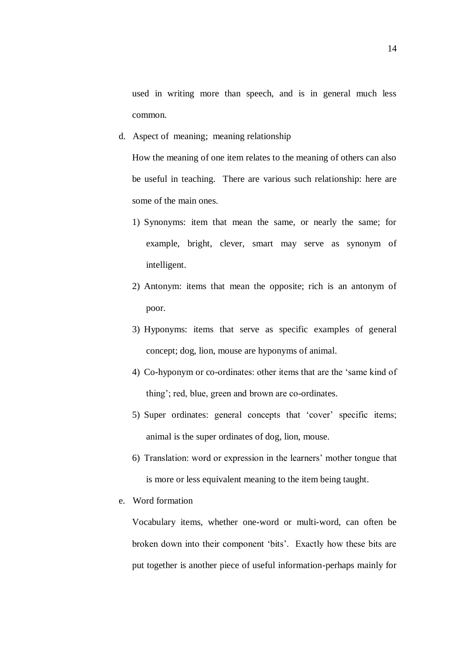used in writing more than speech, and is in general much less common.

d. Aspect of meaning; meaning relationship

How the meaning of one item relates to the meaning of others can also be useful in teaching. There are various such relationship: here are some of the main ones.

- 1) Synonyms: item that mean the same, or nearly the same; for example, bright, clever, smart may serve as synonym of intelligent.
- 2) Antonym: items that mean the opposite; rich is an antonym of poor.
- 3) Hyponyms: items that serve as specific examples of general concept; dog, lion, mouse are hyponyms of animal.
- 4) Co-hyponym or co-ordinates: other items that are the "same kind of thing"; red, blue, green and brown are co-ordinates.
- 5) Super ordinates: general concepts that 'cover' specific items; animal is the super ordinates of dog, lion, mouse.
- 6) Translation: word or expression in the learners" mother tongue that is more or less equivalent meaning to the item being taught.
- e. Word formation

Vocabulary items, whether one-word or multi-word, can often be broken down into their component "bits". Exactly how these bits are put together is another piece of useful information-perhaps mainly for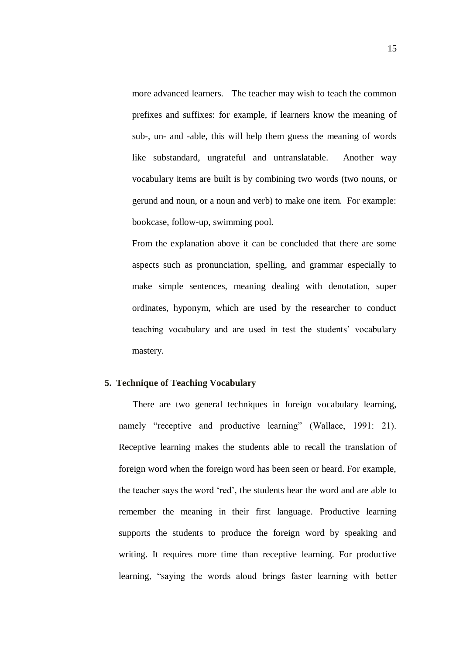more advanced learners. The teacher may wish to teach the common prefixes and suffixes: for example, if learners know the meaning of sub-, un- and -able, this will help them guess the meaning of words like substandard, ungrateful and untranslatable. Another way vocabulary items are built is by combining two words (two nouns, or gerund and noun, or a noun and verb) to make one item. For example: bookcase, follow-up, swimming pool.

From the explanation above it can be concluded that there are some aspects such as pronunciation, spelling, and grammar especially to make simple sentences, meaning dealing with denotation, super ordinates, hyponym, which are used by the researcher to conduct teaching vocabulary and are used in test the students" vocabulary mastery.

### **5. Technique of Teaching Vocabulary**

There are two general techniques in foreign vocabulary learning, namely "receptive and productive learning" (Wallace, 1991: 21). Receptive learning makes the students able to recall the translation of foreign word when the foreign word has been seen or heard. For example, the teacher says the word "red", the students hear the word and are able to remember the meaning in their first language. Productive learning supports the students to produce the foreign word by speaking and writing. It requires more time than receptive learning. For productive learning, "saying the words aloud brings faster learning with better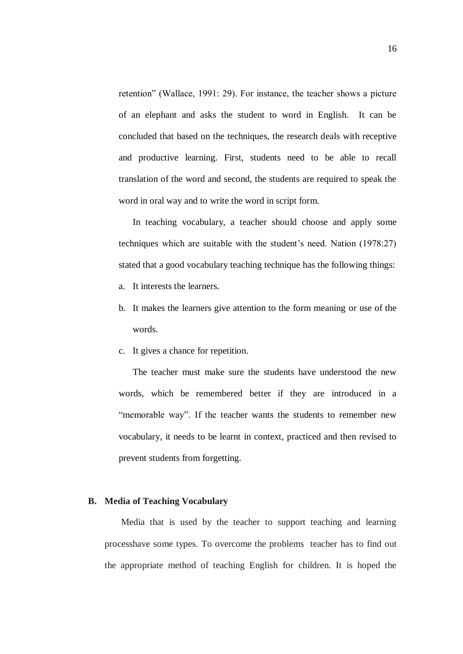retention" (Wallace, 1991: 29). For instance, the teacher shows a picture of an elephant and asks the student to word in English. It can be concluded that based on the techniques, the research deals with receptive and productive learning. First, students need to be able to recall translation of the word and second, the students are required to speak the word in oral way and to write the word in script form.

In teaching vocabulary, a teacher should choose and apply some techniques which are suitable with the student"s need. Nation (1978:27) stated that a good vocabulary teaching technique has the following things:

- a. It interests the learners.
- b. It makes the learners give attention to the form meaning or use of the words.
- c. It gives a chance for repetition.

The teacher must make sure the students have understood the new words, which be remembered better if they are introduced in a "memorable way". If the teacher wants the students to remember new vocabulary, it needs to be learnt in context, practiced and then revised to prevent students from forgetting.

### **B. Media of Teaching Vocabulary**

Media that is used by the teacher to support teaching and learning processhave some types. To overcome the problems teacher has to find out the appropriate method of teaching English for children. It is hoped the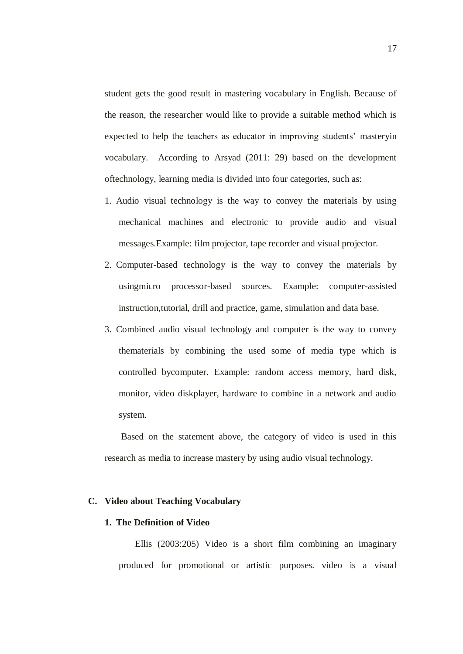student gets the good result in mastering vocabulary in English. Because of the reason, the researcher would like to provide a suitable method which is expected to help the teachers as educator in improving students' masteryin vocabulary. According to Arsyad (2011: 29) based on the development oftechnology, learning media is divided into four categories, such as:

- 1. Audio visual technology is the way to convey the materials by using mechanical machines and electronic to provide audio and visual messages.Example: film projector, tape recorder and visual projector.
- 2. Computer-based technology is the way to convey the materials by usingmicro processor-based sources. Example: computer-assisted instruction,tutorial, drill and practice, game, simulation and data base.
- 3. Combined audio visual technology and computer is the way to convey thematerials by combining the used some of media type which is controlled bycomputer. Example: random access memory, hard disk, monitor, video diskplayer, hardware to combine in a network and audio system.

Based on the statement above, the category of video is used in this research as media to increase mastery by using audio visual technology.

### **C. Video about Teaching Vocabulary**

### **1. The Definition of Video**

Ellis (2003:205) Video is a short film combining an imaginary produced for promotional or artistic purposes. video is a visual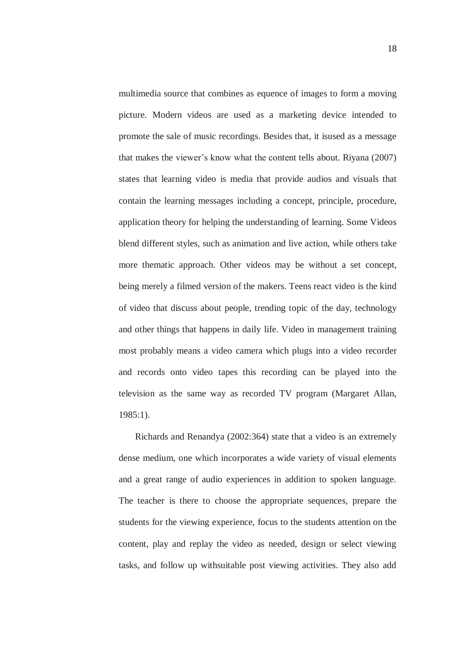multimedia source that combines as equence of images to form a moving picture. Modern videos are used as a marketing device intended to promote the sale of music recordings. Besides that, it isused as a message that makes the viewer"s know what the content tells about. Riyana (2007) states that learning video is media that provide audios and visuals that contain the learning messages including a concept, principle, procedure, application theory for helping the understanding of learning. Some Videos blend different styles, such as animation and live action, while others take more thematic approach. Other videos may be without a set concept, being merely a filmed version of the makers. Teens react video is the kind of video that discuss about people, trending topic of the day, technology and other things that happens in daily life. Video in management training most probably means a video camera which plugs into a video recorder and records onto video tapes this recording can be played into the television as the same way as recorded TV program (Margaret Allan, 1985:1).

Richards and Renandya (2002:364) state that a video is an extremely dense medium, one which incorporates a wide variety of visual elements and a great range of audio experiences in addition to spoken language. The teacher is there to choose the appropriate sequences, prepare the students for the viewing experience, focus to the students attention on the content, play and replay the video as needed, design or select viewing tasks, and follow up withsuitable post viewing activities. They also add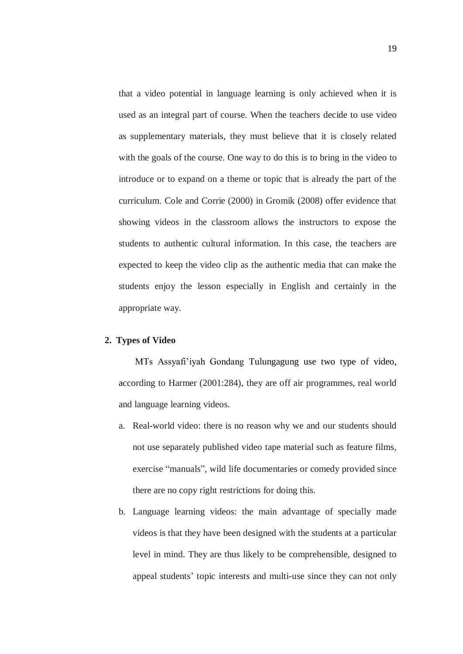that a video potential in language learning is only achieved when it is used as an integral part of course. When the teachers decide to use video as supplementary materials, they must believe that it is closely related with the goals of the course. One way to do this is to bring in the video to introduce or to expand on a theme or topic that is already the part of the curriculum. Cole and Corrie (2000) in Gromik (2008) offer evidence that showing videos in the classroom allows the instructors to expose the students to authentic cultural information. In this case, the teachers are expected to keep the video clip as the authentic media that can make the students enjoy the lesson especially in English and certainly in the appropriate way.

### **2. Types of Video**

MTs Assyafi"iyah Gondang Tulungagung use two type of video, according to Harmer (2001:284), they are off air programmes, real world and language learning videos.

- a. Real-world video: there is no reason why we and our students should not use separately published video tape material such as feature films, exercise "manuals", wild life documentaries or comedy provided since there are no copy right restrictions for doing this.
- b. Language learning videos: the main advantage of specially made videos is that they have been designed with the students at a particular level in mind. They are thus likely to be comprehensible, designed to appeal students" topic interests and multi-use since they can not only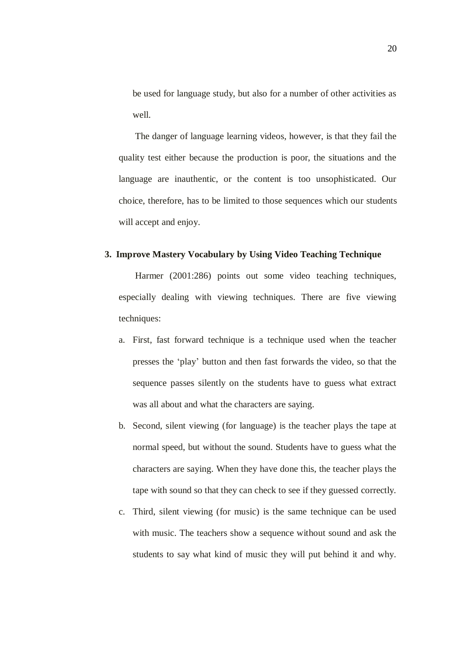be used for language study, but also for a number of other activities as well.

The danger of language learning videos, however, is that they fail the quality test either because the production is poor, the situations and the language are inauthentic, or the content is too unsophisticated. Our choice, therefore, has to be limited to those sequences which our students will accept and enjoy.

## **3. Improve Mastery Vocabulary by Using Video Teaching Technique**

Harmer (2001:286) points out some video teaching techniques, especially dealing with viewing techniques. There are five viewing techniques:

- a. First, fast forward technique is a technique used when the teacher presses the "play" button and then fast forwards the video, so that the sequence passes silently on the students have to guess what extract was all about and what the characters are saying.
- b. Second, silent viewing (for language) is the teacher plays the tape at normal speed, but without the sound. Students have to guess what the characters are saying. When they have done this, the teacher plays the tape with sound so that they can check to see if they guessed correctly.
- c. Third, silent viewing (for music) is the same technique can be used with music. The teachers show a sequence without sound and ask the students to say what kind of music they will put behind it and why.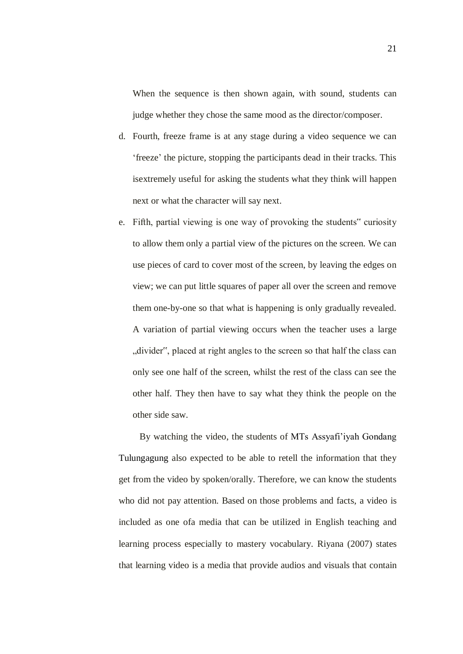When the sequence is then shown again, with sound, students can judge whether they chose the same mood as the director/composer.

- d. Fourth, freeze frame is at any stage during a video sequence we can "freeze" the picture, stopping the participants dead in their tracks. This isextremely useful for asking the students what they think will happen next or what the character will say next.
- e. Fifth, partial viewing is one way of provoking the students" curiosity to allow them only a partial view of the pictures on the screen. We can use pieces of card to cover most of the screen, by leaving the edges on view; we can put little squares of paper all over the screen and remove them one-by-one so that what is happening is only gradually revealed. A variation of partial viewing occurs when the teacher uses a large divider", placed at right angles to the screen so that half the class can only see one half of the screen, whilst the rest of the class can see the other half. They then have to say what they think the people on the other side saw.

 By watching the video, the students of MTs Assyafi"iyah Gondang Tulungagung also expected to be able to retell the information that they get from the video by spoken/orally. Therefore, we can know the students who did not pay attention. Based on those problems and facts, a video is included as one ofa media that can be utilized in English teaching and learning process especially to mastery vocabulary. Riyana (2007) states that learning video is a media that provide audios and visuals that contain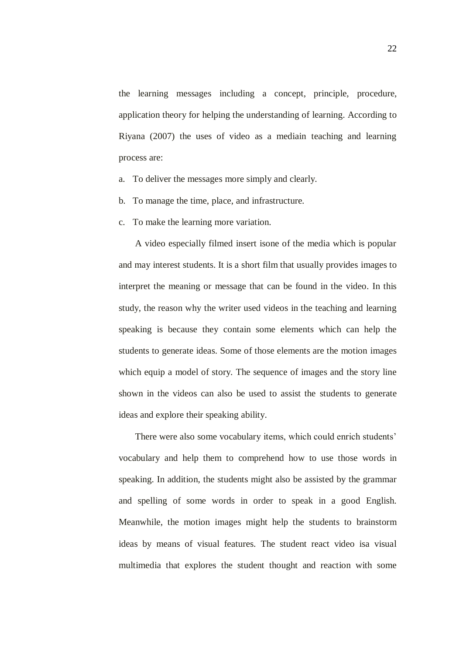the learning messages including a concept, principle, procedure, application theory for helping the understanding of learning. According to Riyana (2007) the uses of video as a mediain teaching and learning process are:

- a. To deliver the messages more simply and clearly.
- b. To manage the time, place, and infrastructure.
- c. To make the learning more variation.

A video especially filmed insert isone of the media which is popular and may interest students. It is a short film that usually provides images to interpret the meaning or message that can be found in the video. In this study, the reason why the writer used videos in the teaching and learning speaking is because they contain some elements which can help the students to generate ideas. Some of those elements are the motion images which equip a model of story. The sequence of images and the story line shown in the videos can also be used to assist the students to generate ideas and explore their speaking ability.

There were also some vocabulary items, which could enrich students' vocabulary and help them to comprehend how to use those words in speaking. In addition, the students might also be assisted by the grammar and spelling of some words in order to speak in a good English. Meanwhile, the motion images might help the students to brainstorm ideas by means of visual features. The student react video isa visual multimedia that explores the student thought and reaction with some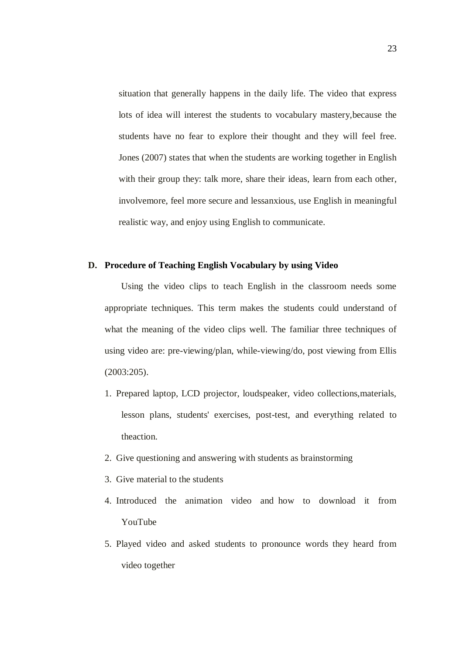situation that generally happens in the daily life. The video that express lots of idea will interest the students to vocabulary mastery,because the students have no fear to explore their thought and they will feel free. Jones (2007) states that when the students are working together in English with their group they: talk more, share their ideas, learn from each other, involvemore, feel more secure and lessanxious, use English in meaningful realistic way, and enjoy using English to communicate.

### **D. Procedure of Teaching English Vocabulary by using Video**

Using the video clips to teach English in the classroom needs some appropriate techniques. This term makes the students could understand of what the meaning of the video clips well. The familiar three techniques of using video are: pre-viewing/plan, while-viewing/do, post viewing from Ellis (2003:205).

- 1. Prepared laptop, LCD projector, loudspeaker, video collections,materials, lesson plans, students' exercises, post-test, and everything related to theaction.
- 2. Give questioning and answering with students as brainstorming
- 3. Give material to the students
- 4. Introduced the animation video and how to download it from YouTube
- 5. Played video and asked students to pronounce words they heard from video together